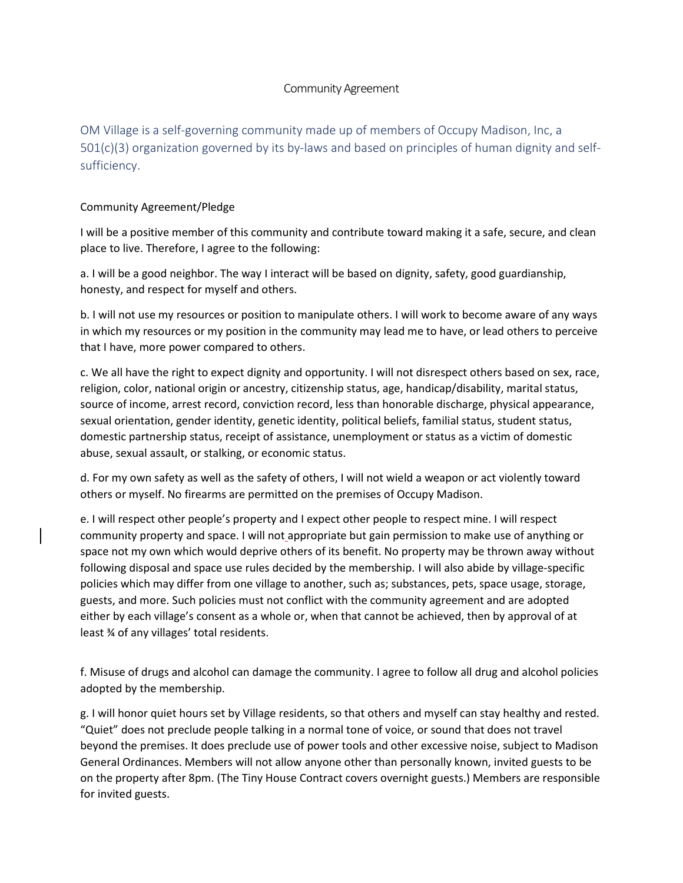## Community Agreement

OM Village is a self-governing community made up of members of Occupy Madison, Inc, a 501(c)(3) organization governed by its by-laws and based on principles of human dignity and selfsufficiency.

## Community Agreement/Pledge

I will be a positive member of this community and contribute toward making it a safe, secure, and clean place to live. Therefore, I agree to the following:

a. I will be a good neighbor. The way I interact will be based on dignity, safety, good guardianship, honesty, and respect for myself and others.

b. I will not use my resources or position to manipulate others. I will work to become aware of any ways in which my resources or my position in the community may lead me to have, or lead others to perceive that I have, more power compared to others.

c. We all have the right to expect dignity and opportunity. I will not disrespect others based on sex, race, religion, color, national origin or ancestry, citizenship status, age, handicap/disability, marital status, source of income, arrest record, conviction record, less than honorable discharge, physical appearance, sexual orientation, gender identity, genetic identity, political beliefs, familial status, student status, domestic partnership status, receipt of assistance, unemployment or status as a victim of domestic abuse, sexual assault, or stalking, or economic status.

d. For my own safety as well as the safety of others, I will not wield a weapon or act violently toward others or myself. No firearms are permitted on the premises of Occupy Madison.

e. I will respect other people's property and I expect other people to respect mine. I will respect community property and space. I will not appropriate but gain permission to make use of anything or space not my own which would deprive others of its benefit. No property may be thrown away without following disposal and space use rules decided by the membership. I will also abide by village-specific policies which may differ from one village to another, such as; substances, pets, space usage, storage, guests, and more. Such policies must not conflict with the community agreement and are adopted either by each village's consent as a whole or, when that cannot be achieved, then by approval of at least ¾ of any villages' total residents.

f. Misuse of drugs and alcohol can damage the community. I agree to follow all drug and alcohol policies adopted by the membership.

g. I will honor quiet hours set by Village residents, so that others and myself can stay healthy and rested. "Quiet" does not preclude people talking in a normal tone of voice, or sound that does not travel beyond the premises. It does preclude use of power tools and other excessive noise, subject to Madison General Ordinances. Members will not allow anyone other than personally known, invited guests to be on the property after 8pm. (The Tiny House Contract covers overnight guests.) Members are responsible for invited guests.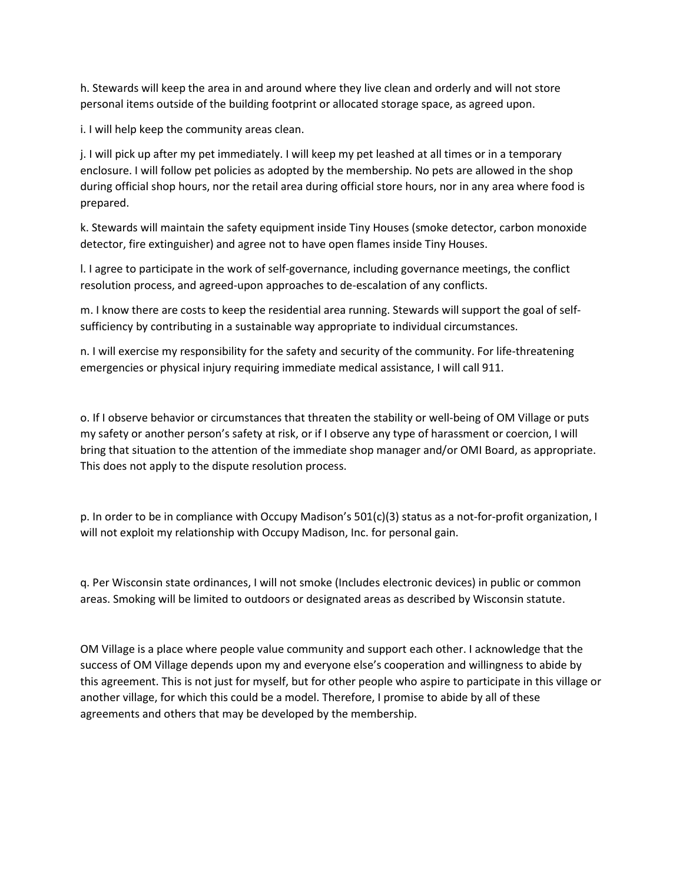h. Stewards will keep the area in and around where they live clean and orderly and will not store personal items outside of the building footprint or allocated storage space, as agreed upon.

i. I will help keep the community areas clean.

j. I will pick up after my pet immediately. I will keep my pet leashed at all times or in a temporary enclosure. I will follow pet policies as adopted by the membership. No pets are allowed in the shop during official shop hours, nor the retail area during official store hours, nor in any area where food is prepared.

k. Stewards will maintain the safety equipment inside Tiny Houses (smoke detector, carbon monoxide detector, fire extinguisher) and agree not to have open flames inside Tiny Houses.

l. I agree to participate in the work of self-governance, including governance meetings, the conflict resolution process, and agreed-upon approaches to de-escalation of any conflicts.

m. I know there are costs to keep the residential area running. Stewards will support the goal of selfsufficiency by contributing in a sustainable way appropriate to individual circumstances.

n. I will exercise my responsibility for the safety and security of the community. For life-threatening emergencies or physical injury requiring immediate medical assistance, I will call 911.

o. If I observe behavior or circumstances that threaten the stability or well-being of OM Village or puts my safety or another person's safety at risk, or if I observe any type of harassment or coercion, I will bring that situation to the attention of the immediate shop manager and/or OMI Board, as appropriate. This does not apply to the dispute resolution process.

p. In order to be in compliance with Occupy Madison's 501(c)(3) status as a not-for-profit organization, I will not exploit my relationship with Occupy Madison, Inc. for personal gain.

q. Per Wisconsin state ordinances, I will not smoke (Includes electronic devices) in public or common areas. Smoking will be limited to outdoors or designated areas as described by Wisconsin statute.

OM Village is a place where people value community and support each other. I acknowledge that the success of OM Village depends upon my and everyone else's cooperation and willingness to abide by this agreement. This is not just for myself, but for other people who aspire to participate in this village or another village, for which this could be a model. Therefore, I promise to abide by all of these agreements and others that may be developed by the membership.